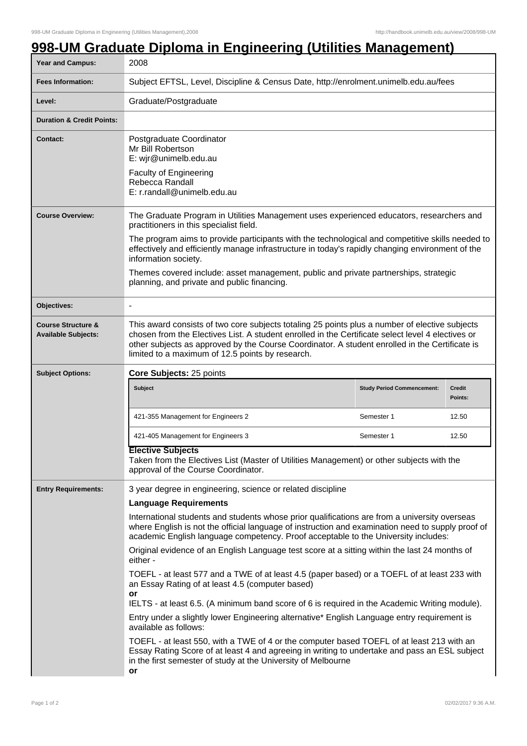## **998-UM Graduate Diploma in Engineering (Utilities Management)**

| Year and Campus:                                            | 2008                                                                                                                                                                                                                                                                                                                                                                                                                                                                                                       |                                                                                           |                          |  |
|-------------------------------------------------------------|------------------------------------------------------------------------------------------------------------------------------------------------------------------------------------------------------------------------------------------------------------------------------------------------------------------------------------------------------------------------------------------------------------------------------------------------------------------------------------------------------------|-------------------------------------------------------------------------------------------|--------------------------|--|
| <b>Fees Information:</b>                                    | Subject EFTSL, Level, Discipline & Census Date, http://enrolment.unimelb.edu.au/fees                                                                                                                                                                                                                                                                                                                                                                                                                       |                                                                                           |                          |  |
| Level:                                                      | Graduate/Postgraduate                                                                                                                                                                                                                                                                                                                                                                                                                                                                                      |                                                                                           |                          |  |
| <b>Duration &amp; Credit Points:</b>                        |                                                                                                                                                                                                                                                                                                                                                                                                                                                                                                            |                                                                                           |                          |  |
| <b>Contact:</b>                                             | Postgraduate Coordinator<br>Mr Bill Robertson<br>E: wjr@unimelb.edu.au<br><b>Faculty of Engineering</b><br>Rebecca Randall<br>E: r.randall@unimelb.edu.au                                                                                                                                                                                                                                                                                                                                                  |                                                                                           |                          |  |
| <b>Course Overview:</b>                                     | The Graduate Program in Utilities Management uses experienced educators, researchers and<br>practitioners in this specialist field.<br>The program aims to provide participants with the technological and competitive skills needed to<br>effectively and efficiently manage infrastructure in today's rapidly changing environment of the<br>information society.<br>Themes covered include: asset management, public and private partnerships, strategic<br>planning, and private and public financing. |                                                                                           |                          |  |
| Objectives:                                                 |                                                                                                                                                                                                                                                                                                                                                                                                                                                                                                            |                                                                                           |                          |  |
| <b>Course Structure &amp;</b><br><b>Available Subjects:</b> | This award consists of two core subjects totaling 25 points plus a number of elective subjects<br>chosen from the Electives List. A student enrolled in the Certificate select level 4 electives or<br>other subjects as approved by the Course Coordinator. A student enrolled in the Certificate is<br>limited to a maximum of 12.5 points by research.                                                                                                                                                  |                                                                                           |                          |  |
| <b>Subject Options:</b>                                     | Core Subjects: 25 points                                                                                                                                                                                                                                                                                                                                                                                                                                                                                   |                                                                                           |                          |  |
|                                                             | <b>Subject</b>                                                                                                                                                                                                                                                                                                                                                                                                                                                                                             | <b>Study Period Commencement:</b>                                                         | <b>Credit</b><br>Points: |  |
|                                                             | 421-355 Management for Engineers 2                                                                                                                                                                                                                                                                                                                                                                                                                                                                         | Semester 1                                                                                | 12.50                    |  |
|                                                             | 421-405 Management for Engineers 3                                                                                                                                                                                                                                                                                                                                                                                                                                                                         | Semester 1                                                                                | 12.50                    |  |
|                                                             | <b>Elective Subjects</b><br>Taken from the Electives List (Master of Utilities Management) or other subjects with the<br>approval of the Course Coordinator.                                                                                                                                                                                                                                                                                                                                               |                                                                                           |                          |  |
| <b>Entry Requirements:</b>                                  | 3 year degree in engineering, science or related discipline                                                                                                                                                                                                                                                                                                                                                                                                                                                |                                                                                           |                          |  |
|                                                             | <b>Language Requirements</b>                                                                                                                                                                                                                                                                                                                                                                                                                                                                               |                                                                                           |                          |  |
|                                                             | International students and students whose prior qualifications are from a university overseas<br>where English is not the official language of instruction and examination need to supply proof of<br>academic English language competency. Proof acceptable to the University includes:                                                                                                                                                                                                                   |                                                                                           |                          |  |
|                                                             | Original evidence of an English Language test score at a sitting within the last 24 months of<br>either -                                                                                                                                                                                                                                                                                                                                                                                                  |                                                                                           |                          |  |
|                                                             | TOEFL - at least 577 and a TWE of at least 4.5 (paper based) or a TOEFL of at least 233 with<br>an Essay Rating of at least 4.5 (computer based)<br>or<br>IELTS - at least 6.5. (A minimum band score of 6 is required in the Academic Writing module).                                                                                                                                                                                                                                                    |                                                                                           |                          |  |
|                                                             | Entry under a slightly lower Engineering alternative* English Language entry requirement is<br>available as follows:                                                                                                                                                                                                                                                                                                                                                                                       |                                                                                           |                          |  |
|                                                             |                                                                                                                                                                                                                                                                                                                                                                                                                                                                                                            | TOEFL - at least 550, with a TWE of 4 or the computer based TOEFL of at least 213 with an |                          |  |